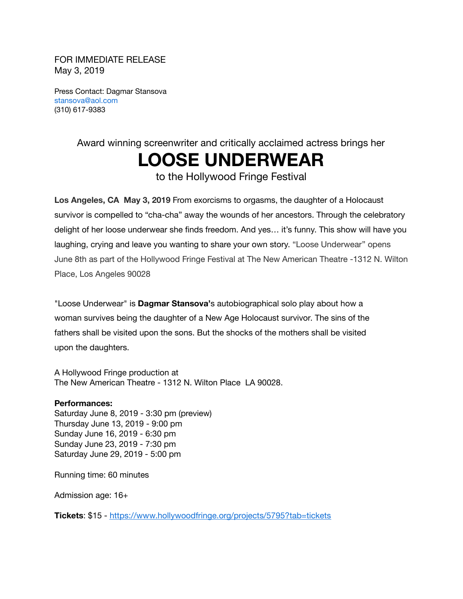FOR IMMEDIATE RELEASE May 3, 2019

Press Contact: Dagmar Stansova stansova@aol.com (310) 617-9383

## Award winning screenwriter and critically acclaimed actress brings her **LOOSE UNDERWEAR**

to the Hollywood Fringe Festival

**Los Angeles, CA May 3, 2019** From exorcisms to orgasms, the daughter of a Holocaust survivor is compelled to "cha-cha" away the wounds of her ancestors. Through the celebratory delight of her loose underwear she finds freedom. And yes… it's funny. This show will have you laughing, crying and leave you wanting to share your own story. "Loose Underwear" opens June 8th as part of the Hollywood Fringe Festival at The New American Theatre -1312 N. Wilton Place, Los Angeles 90028

"Loose Underwear" is **Dagmar Stansova'**s autobiographical solo play about how a woman survives being the daughter of a New Age Holocaust survivor. The sins of the fathers shall be visited upon the sons. But the shocks of the mothers shall be visited upon the daughters.

A Hollywood Fringe production at The New American Theatre - 1312 N. Wilton Place LA 90028.

## **Performances:**

Saturday June 8, 2019 - 3:30 pm (preview) Thursday June 13, 2019 - 9:00 pm Sunday June 16, 2019 - 6:30 pm Sunday June 23, 2019 - 7:30 pm Saturday June 29, 2019 - 5:00 pm

Running time: 60 minutes

Admission age: 16+

**Tickets**: \$15 - <https://www.hollywoodfringe.org/projects/5795?tab=tickets>